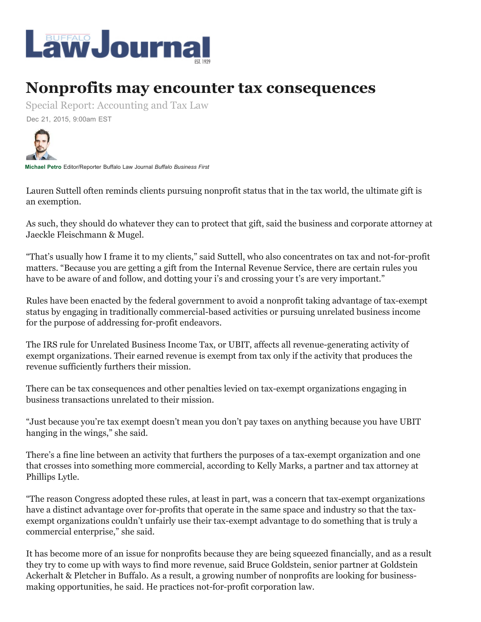

## **Nonprofits may encounter tax consequences**

Special Report: Accounting and Tax Law

Dec 21, 2015, 9:00am EST



**Michael Petro** Editor/Reporter Buffalo Law Journal *Buffalo Business First* 

Lauren Suttell often reminds clients pursuing nonprofit status that in the tax world, the ultimate gift is an exemption.

As such, they should do whatever they can to protect that gift, said the business and corporate attorney at Jaeckle Fleischmann & Mugel.

"That's usually how I frame it to my clients," said Suttell, who also concentrates on tax and not-for-profit matters. "Because you are getting a gift from the Internal Revenue Service, there are certain rules you have to be aware of and follow, and dotting your i's and crossing your t's are very important."

Rules have been enacted by the federal government to avoid a nonprofit taking advantage of tax-exempt status by engaging in traditionally commercial-based activities or pursuing unrelated business income for the purpose of addressing for-profit endeavors.

The IRS rule for Unrelated Business Income Tax, or UBIT, affects all revenue-generating activity of exempt organizations. Their earned revenue is exempt from tax only if the activity that produces the revenue sufficiently furthers their mission.

There can be tax consequences and other penalties levied on tax-exempt organizations engaging in business transactions unrelated to their mission.

"Just because you're tax exempt doesn't mean you don't pay taxes on anything because you have UBIT hanging in the wings," she said.

There's a fine line between an activity that furthers the purposes of a tax-exempt organization and one that crosses into something more commercial, according to Kelly Marks, a partner and tax attorney at Phillips Lytle.

"The reason Congress adopted these rules, at least in part, was a concern that tax-exempt organizations have a distinct advantage over for-profits that operate in the same space and industry so that the taxexempt organizations couldn't unfairly use their tax-exempt advantage to do something that is truly a commercial enterprise," she said.

It has become more of an issue for nonprofits because they are being squeezed financially, and as a result they try to come up with ways to find more revenue, said Bruce Goldstein, senior partner at Goldstein Ackerhalt & Pletcher in Buffalo. As a result, a growing number of nonprofits are looking for businessmaking opportunities, he said. He practices not-for-profit corporation law.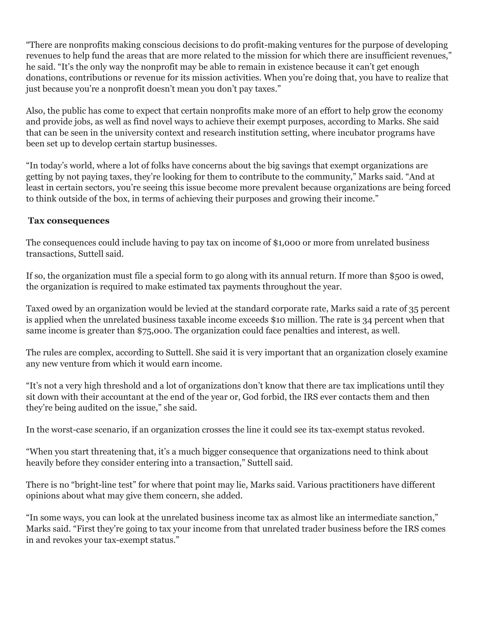"There are nonprofits making conscious decisions to do profit-making ventures for the purpose of developing revenues to help fund the areas that are more related to the mission for which there are insufficient revenues," he said. "It's the only way the nonprofit may be able to remain in existence because it can't get enough donations, contributions or revenue for its mission activities. When you're doing that, you have to realize that just because you're a nonprofit doesn't mean you don't pay taxes."

Also, the public has come to expect that certain nonprofits make more of an effort to help grow the economy and provide jobs, as well as find novel ways to achieve their exempt purposes, according to Marks. She said that can be seen in the university context and research institution setting, where incubator programs have been set up to develop certain startup businesses.

"In today's world, where a lot of folks have concerns about the big savings that exempt organizations are getting by not paying taxes, they're looking for them to contribute to the community," Marks said. "And at least in certain sectors, you're seeing this issue become more prevalent because organizations are being forced to think outside of the box, in terms of achieving their purposes and growing their income."

## **Tax consequences**

The consequences could include having to pay tax on income of \$1,000 or more from unrelated business transactions, Suttell said.

If so, the organization must file a special form to go along with its annual return. If more than \$500 is owed, the organization is required to make estimated tax payments throughout the year.

Taxed owed by an organization would be levied at the standard corporate rate, Marks said a rate of 35 percent is applied when the unrelated business taxable income exceeds \$10 million. The rate is 34 percent when that same income is greater than \$75,000. The organization could face penalties and interest, as well.

The rules are complex, according to Suttell. She said it is very important that an organization closely examine any new venture from which it would earn income.

"It's not a very high threshold and a lot of organizations don't know that there are tax implications until they sit down with their accountant at the end of the year or, God forbid, the IRS ever contacts them and then they're being audited on the issue," she said.

In the worst-case scenario, if an organization crosses the line it could see its tax-exempt status revoked.

"When you start threatening that, it's a much bigger consequence that organizations need to think about heavily before they consider entering into a transaction," Suttell said.

There is no "bright-line test" for where that point may lie, Marks said. Various practitioners have different opinions about what may give them concern, she added.

"In some ways, you can look at the unrelated business income tax as almost like an intermediate sanction," Marks said. "First they're going to tax your income from that unrelated trader business before the IRS comes in and revokes your tax-exempt status."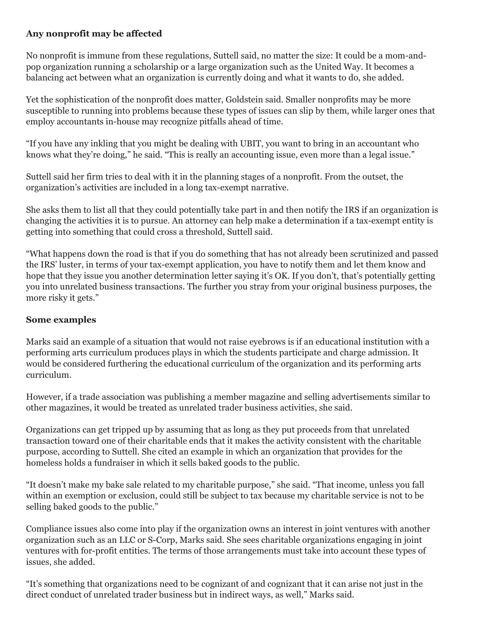## **Any nonprofit may be affected**

No nonprofit is immune from these regulations, Suttell said, no matter the size: It could be a mom-andpop organization running a scholarship or a large organization such as the United Way. It becomes a balancing act between what an organization is currently doing and what it wants to do, she added.

Yet the sophistication of the nonprofit does matter, Goldstein said. Smaller nonprofits may be more susceptible to running into problems because these types of issues can slip by them, while larger ones that employ accountants in-house may recognize pitfalls ahead of time.

"If you have any inkling that you might be dealing with UBIT, you want to bring in an accountant who knows what they're doing," he said. "This is really an accounting issue, even more than a legal issue."

Suttell said her firm tries to deal with it in the planning stages of a nonprofit. From the outset, the organization's activities are included in a long tax-exempt narrative.

She asks them to list all that they could potentially take part in and then notify the IRS if an organization is changing the activities it is to pursue. An attorney can help make a determination if a tax-exempt entity is getting into something that could cross a threshold, Suttell said.

"What happens down the road is that if you do something that has not already been scrutinized and passed the IRS' luster, in terms of your tax-exempt application, you have to notify them and let them know and hope that they issue you another determination letter saying it's OK. If you don't, that's potentially getting you into unrelated business transactions. The further you stray from your original business purposes, the more risky it gets."

## **Some examples**

Marks said an example of a situation that would not raise eyebrows is if an educational institution with a performing arts curriculum produces plays in which the students participate and charge admission. It would be considered furthering the educational curriculum of the organization and its performing arts curriculum.

However, if a trade association was publishing a member magazine and selling advertisements similar to other magazines, it would be treated as unrelated trader business activities, she said.

Organizations can get tripped up by assuming that as long as they put proceeds from that unrelated transaction toward one of their charitable ends that it makes the activity consistent with the charitable purpose, according to Suttell. She cited an example in which an organization that provides for the homeless holds a fundraiser in which it sells baked goods to the public.

"It doesn't make my bake sale related to my charitable purpose," she said. "That income, unless you fall within an exemption or exclusion, could still be subject to tax because my charitable service is not to be selling baked goods to the public."

Compliance issues also come into play if the organization owns an interest in joint ventures with another organization such as an LLC or S-Corp, Marks said. She sees charitable organizations engaging in joint ventures with for-profit entities. The terms of those arrangements must take into account these types of issues, she added.

"It's something that organizations need to be cognizant of and cognizant that it can arise not just in the direct conduct of unrelated trader business but in indirect ways, as well," Marks said.